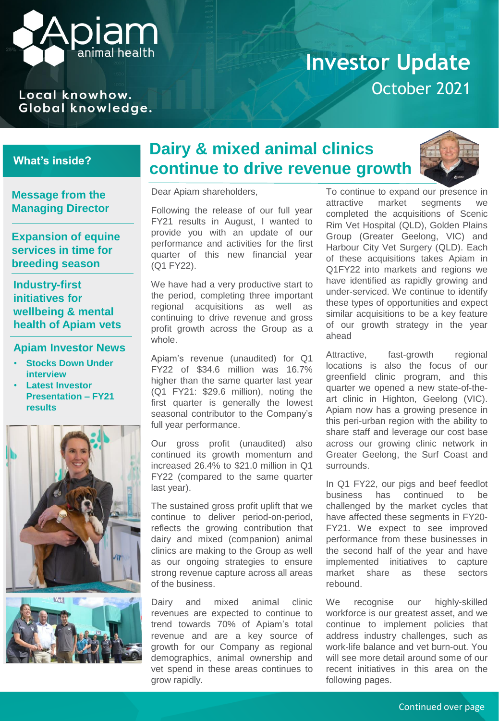

#### Local knowhow. Global knowledge.

### **Investor Update** October 2021

#### **What's inside?**

**Message from the Managing Director**

**Expansion of equine services in time for breeding season**

**Industry-first initiatives for wellbeing & mental health of Apiam vets**

#### **Apiam Investor News**

- **Stocks Down Under interview**
- **Latest Investor Presentation – FY21 results**





### **Dairy & mixed animal clinics continue to drive revenue growth**



Dear Apiam shareholders,

Following the release of our full year FY21 results in August, I wanted to provide you with an update of our performance and activities for the first quarter of this new financial year (Q1 FY22).

We have had a very productive start to the period, completing three important regional acquisitions as well as continuing to drive revenue and gross profit growth across the Group as a whole.

Apiam's revenue (unaudited) for Q1 FY22 of \$34.6 million was 16.7% higher than the same quarter last year (Q1 FY21: \$29.6 million), noting the first quarter is generally the lowest seasonal contributor to the Company's full year performance.

Our gross profit (unaudited) also continued its growth momentum and increased 26.4% to \$21.0 million in Q1 FY22 (compared to the same quarter last year).

The sustained gross profit uplift that we continue to deliver period-on-period, reflects the growing contribution that dairy and mixed (companion) animal clinics are making to the Group as well as our ongoing strategies to ensure strong revenue capture across all areas of the business.

Dairy and mixed animal clinic revenues are expected to continue to trend towards 70% of Apiam's total revenue and are a key source of growth for our Company as regional demographics, animal ownership and vet spend in these areas continues to grow rapidly.

To continue to expand our presence in attractive market segments we completed the acquisitions of Scenic Rim Vet Hospital (QLD), Golden Plains Group (Greater Geelong, VIC) and Harbour City Vet Surgery (QLD). Each of these acquisitions takes Apiam in Q1FY22 into markets and regions we have identified as rapidly growing and under-serviced. We continue to identify these types of opportunities and expect similar acquisitions to be a key feature of our growth strategy in the year ahead

Attractive, fast-growth regional locations is also the focus of our greenfield clinic program, and this quarter we opened a new state-of-theart clinic in Highton, Geelong (VIC). Apiam now has a growing presence in this peri-urban region with the ability to share staff and leverage our cost base across our growing clinic network in Greater Geelong, the Surf Coast and surrounds.

In Q1 FY22, our pigs and beef feedlot business has continued to be challenged by the market cycles that have affected these segments in FY20- FY21. We expect to see improved performance from these businesses in the second half of the year and have implemented initiatives to capture market share as these sectors rebound.

We recognise our highly-skilled workforce is our greatest asset, and we continue to implement policies that address industry challenges, such as work-life balance and vet burn-out. You will see more detail around some of our recent initiatives in this area on the following pages.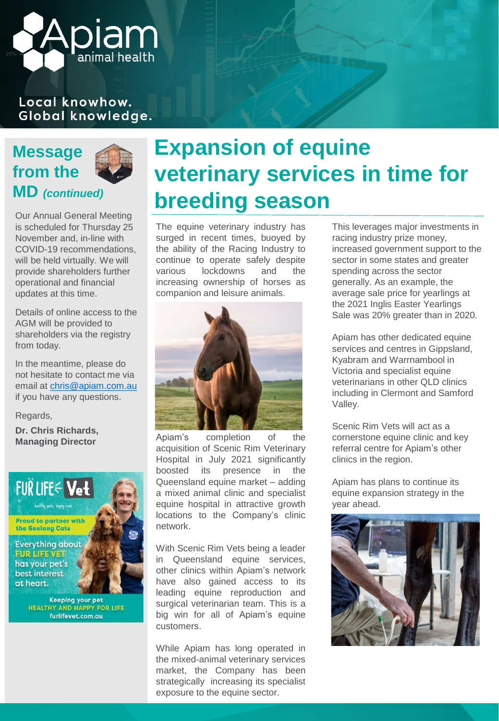### Local knowhow. Global knowledge.

**DIAI** 

animal health



Our Annual General Meeting is scheduled for Thursday 25 November and, in-line with COVID-19 recommendations, will be held virtually. We will provide shareholders further operational and financial updates at this time.

Details of online access to the AGM will be provided to shareholders via the registry from today.

In the meantime, please do not hesitate to contact me via email at [chris@apiam.com.au](mailto:chris@apiam.com.au) if you have any questions.

Regards,

**Dr. Chris Richards, Managing Director**



**Keeping your pet HEALTHY AND HAPPY FOR LIFE** furlifevet.com.au

## **Expansion of equine veterinary services in time for breeding season**

The equine veterinary industry has surged in recent times, buoyed by the ability of the Racing Industry to continue to operate safely despite various lockdowns and the increasing ownership of horses as companion and leisure animals.



Apiam's completion of the acquisition of Scenic Rim Veterinary Hospital in July 2021 significantly boosted its presence in the Queensland equine market – adding a mixed animal clinic and specialist equine hospital in attractive growth locations to the Company's clinic network.

With Scenic Rim Vets being a leader in Queensland equine services, other clinics within Apiam's network have also gained access to its leading equine reproduction and surgical veterinarian team. This is a big win for all of Apiam's equine customers.

While Apiam has long operated in the mixed-animal veterinary services market, the Company has been strategically increasing its specialist exposure to the equine sector.

This leverages major investments in racing industry prize money, increased government support to the sector in some states and greater spending across the sector generally. As an example, the average sale price for yearlings at the 2021 Inglis Easter Yearlings Sale was 20% greater than in 2020.

Apiam has other dedicated equine services and centres in Gippsland, Kyabram and Warrnambool in Victoria and specialist equine veterinarians in other QLD clinics including in Clermont and Samford Valley.

Scenic Rim Vets will act as a cornerstone equine clinic and key referral centre for Apiam's other clinics in the region.

Apiam has plans to continue its equine expansion strategy in the year ahead.